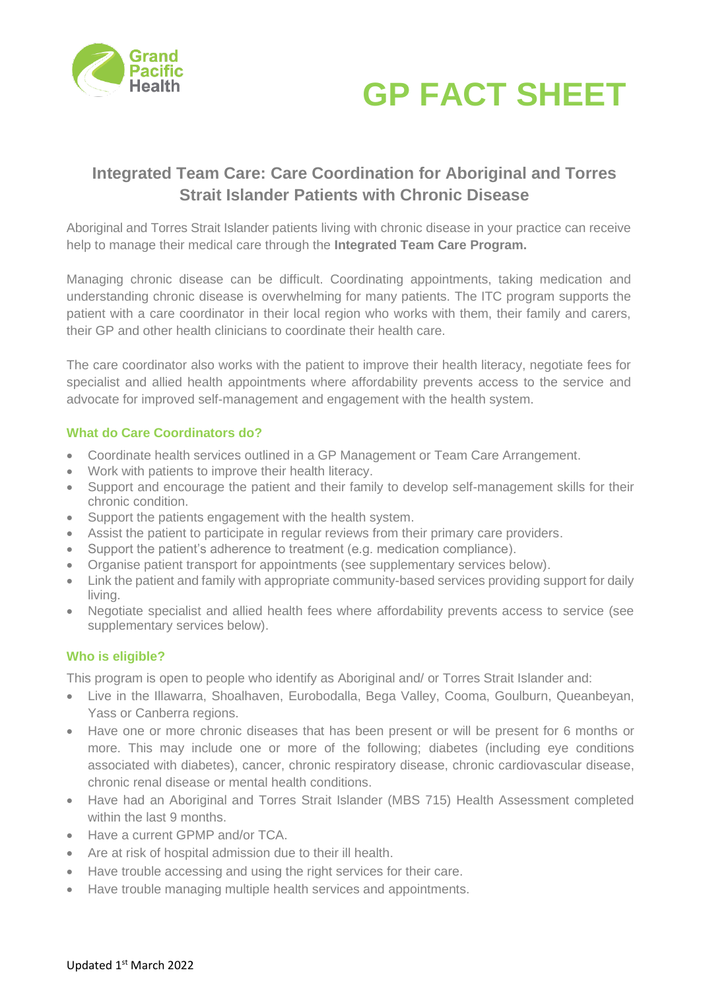



# **Integrated Team Care: Care Coordination for Aboriginal and Torres Strait Islander Patients with Chronic Disease**

Aboriginal and Torres Strait Islander patients living with chronic disease in your practice can receive help to manage their medical care through the **Integrated Team Care Program.** 

Managing chronic disease can be difficult. Coordinating appointments, taking medication and understanding chronic disease is overwhelming for many patients. The ITC program supports the patient with a care coordinator in their local region who works with them, their family and carers, their GP and other health clinicians to coordinate their health care.

The care coordinator also works with the patient to improve their health literacy, negotiate fees for specialist and allied health appointments where affordability prevents access to the service and advocate for improved self-management and engagement with the health system.

### **What do Care Coordinators do?**

- Coordinate health services outlined in a GP Management or Team Care Arrangement.
- Work with patients to improve their health literacy.
- Support and encourage the patient and their family to develop self-management skills for their chronic condition.
- Support the patients engagement with the health system.
- Assist the patient to participate in regular reviews from their primary care providers.
- Support the patient's adherence to treatment (e.g. medication compliance).
- Organise patient transport for appointments (see supplementary services below).
- Link the patient and family with appropriate community-based services providing support for daily living.
- Negotiate specialist and allied health fees where affordability prevents access to service (see supplementary services below).

### **Who is eligible?**

This program is open to people who identify as Aboriginal and/ or Torres Strait Islander and:

- Live in the Illawarra, Shoalhaven, Eurobodalla, Bega Valley, Cooma, Goulburn, Queanbeyan, Yass or Canberra regions.
- Have one or more chronic diseases that has been present or will be present for 6 months or more. This may include one or more of the following; diabetes (including eye conditions associated with diabetes), cancer, chronic respiratory disease, chronic cardiovascular disease, chronic renal disease or mental health conditions.
- Have had an Aboriginal and Torres Strait Islander (MBS 715) Health Assessment completed within the last 9 months.
- Have a current GPMP and/or TCA.
- Are at risk of hospital admission due to their ill health.
- Have trouble accessing and using the right services for their care.
- Have trouble managing multiple health services and appointments.